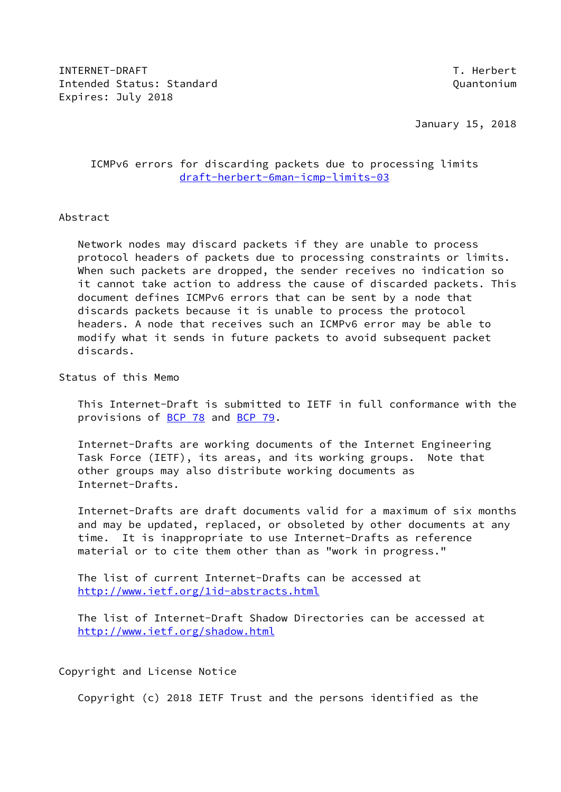INTERNET-DRAFT TEXT INTERNET OF THE SERIES OF THE SERIES OF THE SERIES OF THE SERIES OF THE SERIES OF THE SERIES OF THE SERIES OF THE SERIES OF THE SERIES OF THE SERIES OF THE SERIES OF THE SERIES OF THE SERIES OF THE SERI Intended Status: Standard Quantonium Expires: July 2018

January 15, 2018

### ICMPv6 errors for discarding packets due to processing limits [draft-herbert-6man-icmp-limits-03](https://datatracker.ietf.org/doc/pdf/draft-herbert-6man-icmp-limits-03)

### Abstract

 Network nodes may discard packets if they are unable to process protocol headers of packets due to processing constraints or limits. When such packets are dropped, the sender receives no indication so it cannot take action to address the cause of discarded packets. This document defines ICMPv6 errors that can be sent by a node that discards packets because it is unable to process the protocol headers. A node that receives such an ICMPv6 error may be able to modify what it sends in future packets to avoid subsequent packet discards.

Status of this Memo

 This Internet-Draft is submitted to IETF in full conformance with the provisions of [BCP 78](https://datatracker.ietf.org/doc/pdf/bcp78) and [BCP 79](https://datatracker.ietf.org/doc/pdf/bcp79).

 Internet-Drafts are working documents of the Internet Engineering Task Force (IETF), its areas, and its working groups. Note that other groups may also distribute working documents as Internet-Drafts.

 Internet-Drafts are draft documents valid for a maximum of six months and may be updated, replaced, or obsoleted by other documents at any time. It is inappropriate to use Internet-Drafts as reference material or to cite them other than as "work in progress."

 The list of current Internet-Drafts can be accessed at <http://www.ietf.org/1id-abstracts.html>

 The list of Internet-Draft Shadow Directories can be accessed at <http://www.ietf.org/shadow.html>

Copyright and License Notice

Copyright (c) 2018 IETF Trust and the persons identified as the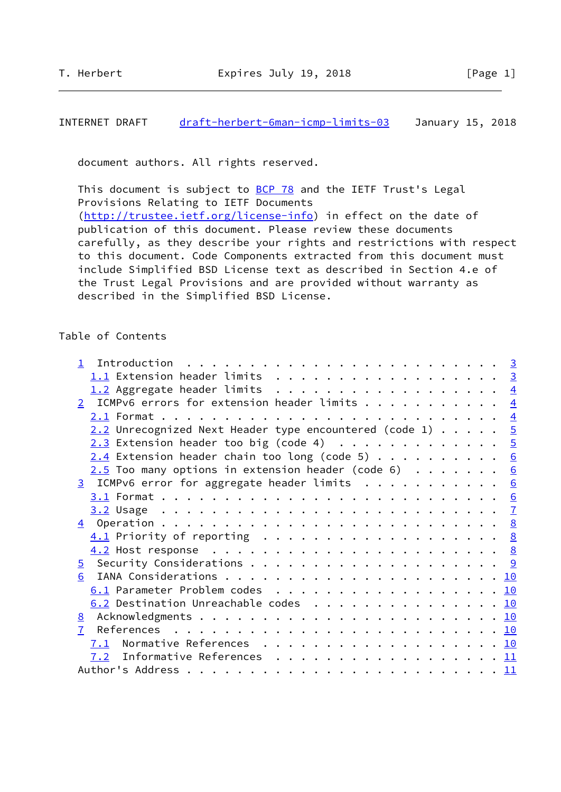### INTERNET DRAFT [draft-herbert-6man-icmp-limits-03](https://datatracker.ietf.org/doc/pdf/draft-herbert-6man-icmp-limits-03) January 15, 2018

document authors. All rights reserved.

This document is subject to [BCP 78](https://datatracker.ietf.org/doc/pdf/bcp78) and the IETF Trust's Legal Provisions Relating to IETF Documents [\(http://trustee.ietf.org/license-info](http://trustee.ietf.org/license-info)) in effect on the date of publication of this document. Please review these documents carefully, as they describe your rights and restrictions with respect to this document. Code Components extracted from this document must include Simplified BSD License text as described in Section 4.e of the Trust Legal Provisions and are provided without warranty as described in the Simplified BSD License.

#### Table of Contents

|                | 1.1 Extension header limits 3                                                              |  |  |  |
|----------------|--------------------------------------------------------------------------------------------|--|--|--|
|                | 1.2 Aggregate header limits 4                                                              |  |  |  |
|                | 2 ICMPv6 errors for extension header limits $\frac{4}{5}$                                  |  |  |  |
|                |                                                                                            |  |  |  |
|                | $2.2$ Unrecognized Next Header type encountered (code 1) $5$                               |  |  |  |
|                | $2.3$ Extension header too big (code 4) 5                                                  |  |  |  |
|                | $2.4$ Extension header chain too long (code 5) 6                                           |  |  |  |
|                | $2.5$ Too many options in extension header (code 6) 6                                      |  |  |  |
|                | 3 ICMPv6 error for aggregate header limits 6                                               |  |  |  |
|                |                                                                                            |  |  |  |
|                |                                                                                            |  |  |  |
|                |                                                                                            |  |  |  |
|                | $\underline{4.1}$ Priority of reporting $\ldots \ldots \ldots \ldots \ldots \ldots \ldots$ |  |  |  |
|                |                                                                                            |  |  |  |
|                |                                                                                            |  |  |  |
| 6              |                                                                                            |  |  |  |
|                | 6.1 Parameter Problem codes 10                                                             |  |  |  |
|                | 6.2 Destination Unreachable codes 10                                                       |  |  |  |
|                |                                                                                            |  |  |  |
| 7 <sup>7</sup> |                                                                                            |  |  |  |
|                | 7.1 Normative References 10                                                                |  |  |  |
|                | 7.2 Informative References 11                                                              |  |  |  |
|                |                                                                                            |  |  |  |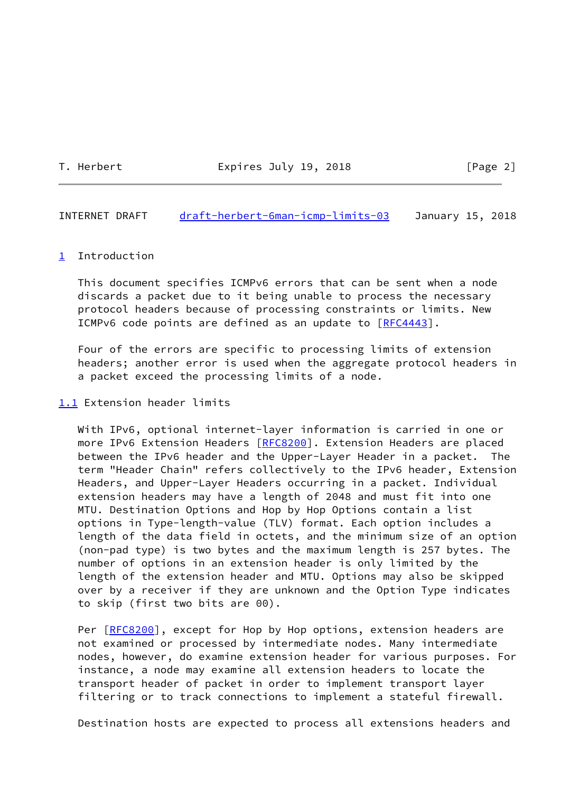T. Herbert **Expires July 19, 2018** [Page 2]

<span id="page-2-1"></span>INTERNET DRAFT [draft-herbert-6man-icmp-limits-03](https://datatracker.ietf.org/doc/pdf/draft-herbert-6man-icmp-limits-03) January 15, 2018

#### <span id="page-2-0"></span>[1](#page-2-0) Introduction

 This document specifies ICMPv6 errors that can be sent when a node discards a packet due to it being unable to process the necessary protocol headers because of processing constraints or limits. New ICMPv6 code points are defined as an update to [\[RFC4443](https://datatracker.ietf.org/doc/pdf/rfc4443)].

 Four of the errors are specific to processing limits of extension headers; another error is used when the aggregate protocol headers in a packet exceed the processing limits of a node.

### <span id="page-2-2"></span>[1.1](#page-2-2) Extension header limits

 With IPv6, optional internet-layer information is carried in one or more IPv6 Extension Headers [\[RFC8200](https://datatracker.ietf.org/doc/pdf/rfc8200)]. Extension Headers are placed between the IPv6 header and the Upper-Layer Header in a packet. The term "Header Chain" refers collectively to the IPv6 header, Extension Headers, and Upper-Layer Headers occurring in a packet. Individual extension headers may have a length of 2048 and must fit into one MTU. Destination Options and Hop by Hop Options contain a list options in Type-length-value (TLV) format. Each option includes a length of the data field in octets, and the minimum size of an option (non-pad type) is two bytes and the maximum length is 257 bytes. The number of options in an extension header is only limited by the length of the extension header and MTU. Options may also be skipped over by a receiver if they are unknown and the Option Type indicates to skip (first two bits are 00).

Per [\[RFC8200](https://datatracker.ietf.org/doc/pdf/rfc8200)], except for Hop by Hop options, extension headers are not examined or processed by intermediate nodes. Many intermediate nodes, however, do examine extension header for various purposes. For instance, a node may examine all extension headers to locate the transport header of packet in order to implement transport layer filtering or to track connections to implement a stateful firewall.

Destination hosts are expected to process all extensions headers and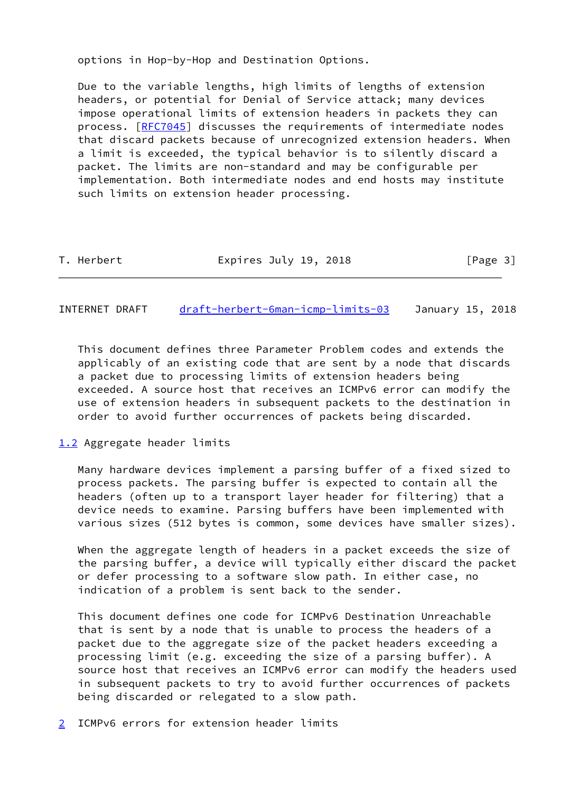options in Hop-by-Hop and Destination Options.

 Due to the variable lengths, high limits of lengths of extension headers, or potential for Denial of Service attack; many devices impose operational limits of extension headers in packets they can process. [\[RFC7045](https://datatracker.ietf.org/doc/pdf/rfc7045)] discusses the requirements of intermediate nodes that discard packets because of unrecognized extension headers. When a limit is exceeded, the typical behavior is to silently discard a packet. The limits are non-standard and may be configurable per implementation. Both intermediate nodes and end hosts may institute such limits on extension header processing.

| T. Herbert | Expires July 19, 2018 | [Page 3] |
|------------|-----------------------|----------|
|            |                       |          |

<span id="page-3-1"></span>INTERNET DRAFT [draft-herbert-6man-icmp-limits-03](https://datatracker.ietf.org/doc/pdf/draft-herbert-6man-icmp-limits-03) January 15, 2018

 This document defines three Parameter Problem codes and extends the applicably of an existing code that are sent by a node that discards a packet due to processing limits of extension headers being exceeded. A source host that receives an ICMPv6 error can modify the use of extension headers in subsequent packets to the destination in order to avoid further occurrences of packets being discarded.

<span id="page-3-0"></span>[1.2](#page-3-0) Aggregate header limits

 Many hardware devices implement a parsing buffer of a fixed sized to process packets. The parsing buffer is expected to contain all the headers (often up to a transport layer header for filtering) that a device needs to examine. Parsing buffers have been implemented with various sizes (512 bytes is common, some devices have smaller sizes).

 When the aggregate length of headers in a packet exceeds the size of the parsing buffer, a device will typically either discard the packet or defer processing to a software slow path. In either case, no indication of a problem is sent back to the sender.

 This document defines one code for ICMPv6 Destination Unreachable that is sent by a node that is unable to process the headers of a packet due to the aggregate size of the packet headers exceeding a processing limit (e.g. exceeding the size of a parsing buffer). A source host that receives an ICMPv6 error can modify the headers used in subsequent packets to try to avoid further occurrences of packets being discarded or relegated to a slow path.

<span id="page-3-2"></span>[2](#page-3-2) ICMPv6 errors for extension header limits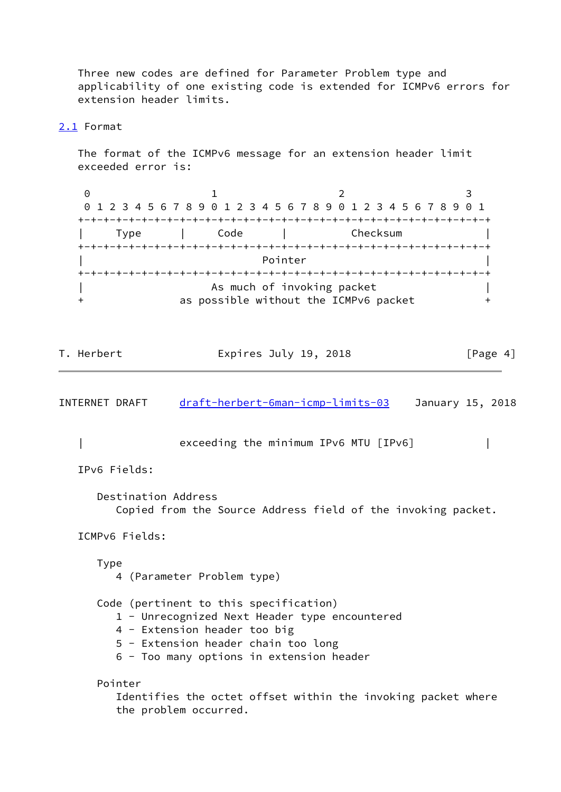Three new codes are defined for Parameter Problem type and applicability of one existing code is extended for ICMPv6 errors for extension header limits.

### <span id="page-4-0"></span>[2.1](#page-4-0) Format

 The format of the ICMPv6 message for an extension header limit exceeded error is:

|      |      | 0 1 2 3 4 5 6 7 8 9 0 1 2 3 4 5 6 7 8 9 0 1 2 3 4 5 6 7 8 9 0 1 |  |
|------|------|-----------------------------------------------------------------|--|
|      |      |                                                                 |  |
| Type | Code | Checksum                                                        |  |
|      |      |                                                                 |  |
|      |      | Pointer                                                         |  |
|      |      |                                                                 |  |
|      |      | As much of invoking packet                                      |  |
|      |      | as possible without the ICMPv6 packet                           |  |

| [Page 4]<br>T. Herbert<br>Expires July 19, 2018 |  |
|-------------------------------------------------|--|
|-------------------------------------------------|--|

<span id="page-4-1"></span>

| INTERNET DRAFT      | <u>draft-herbert-6man-icmp-limits-03</u>                                                                                                                                                                   | January 15, 2018 |
|---------------------|------------------------------------------------------------------------------------------------------------------------------------------------------------------------------------------------------------|------------------|
|                     | exceeding the minimum IPv6 MTU [IPv6]                                                                                                                                                                      |                  |
| IPv6 Fields:        |                                                                                                                                                                                                            |                  |
| Destination Address | Copied from the Source Address field of the invoking packet.                                                                                                                                               |                  |
| ICMPv6 Fields:      |                                                                                                                                                                                                            |                  |
| <b>Type</b>         | 4 (Parameter Problem type)                                                                                                                                                                                 |                  |
|                     | Code (pertinent to this specification)<br>1 - Unrecognized Next Header type encountered<br>4 - Extension header too big<br>5 - Extension header chain too long<br>6 - Too many options in extension header |                  |
| Pointer             | Identifies the octet offset within the invoking packet where<br>the problem occurred.                                                                                                                      |                  |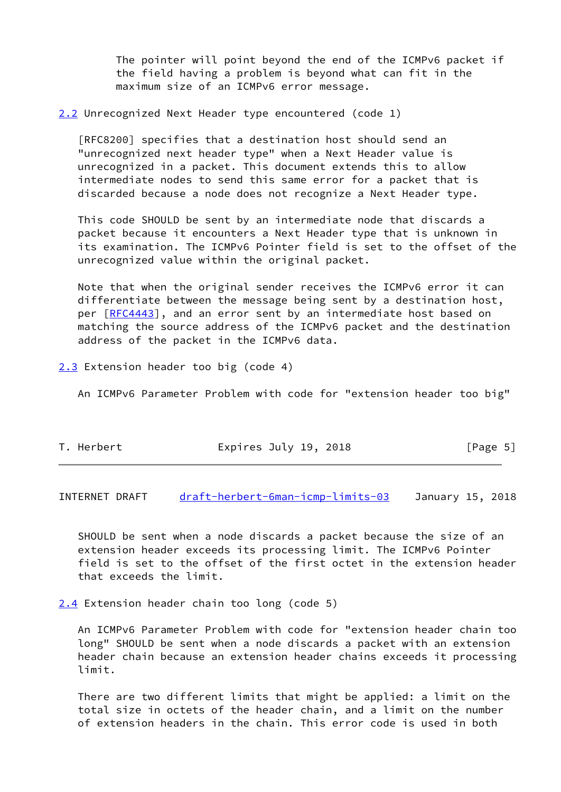The pointer will point beyond the end of the ICMPv6 packet if the field having a problem is beyond what can fit in the maximum size of an ICMPv6 error message.

<span id="page-5-0"></span>[2.2](#page-5-0) Unrecognized Next Header type encountered (code 1)

 [RFC8200] specifies that a destination host should send an "unrecognized next header type" when a Next Header value is unrecognized in a packet. This document extends this to allow intermediate nodes to send this same error for a packet that is discarded because a node does not recognize a Next Header type.

 This code SHOULD be sent by an intermediate node that discards a packet because it encounters a Next Header type that is unknown in its examination. The ICMPv6 Pointer field is set to the offset of the unrecognized value within the original packet.

 Note that when the original sender receives the ICMPv6 error it can differentiate between the message being sent by a destination host, per [\[RFC4443](https://datatracker.ietf.org/doc/pdf/rfc4443)], and an error sent by an intermediate host based on matching the source address of the ICMPv6 packet and the destination address of the packet in the ICMPv6 data.

<span id="page-5-1"></span>[2.3](#page-5-1) Extension header too big (code 4)

An ICMPv6 Parameter Problem with code for "extension header too big"

| Expires July 19, 2018<br>T. Herbert | [Page 5] |
|-------------------------------------|----------|
|-------------------------------------|----------|

<span id="page-5-3"></span>INTERNET DRAFT [draft-herbert-6man-icmp-limits-03](https://datatracker.ietf.org/doc/pdf/draft-herbert-6man-icmp-limits-03) January 15, 2018

 SHOULD be sent when a node discards a packet because the size of an extension header exceeds its processing limit. The ICMPv6 Pointer field is set to the offset of the first octet in the extension header that exceeds the limit.

<span id="page-5-2"></span>[2.4](#page-5-2) Extension header chain too long (code 5)

 An ICMPv6 Parameter Problem with code for "extension header chain too long" SHOULD be sent when a node discards a packet with an extension header chain because an extension header chains exceeds it processing limit.

 There are two different limits that might be applied: a limit on the total size in octets of the header chain, and a limit on the number of extension headers in the chain. This error code is used in both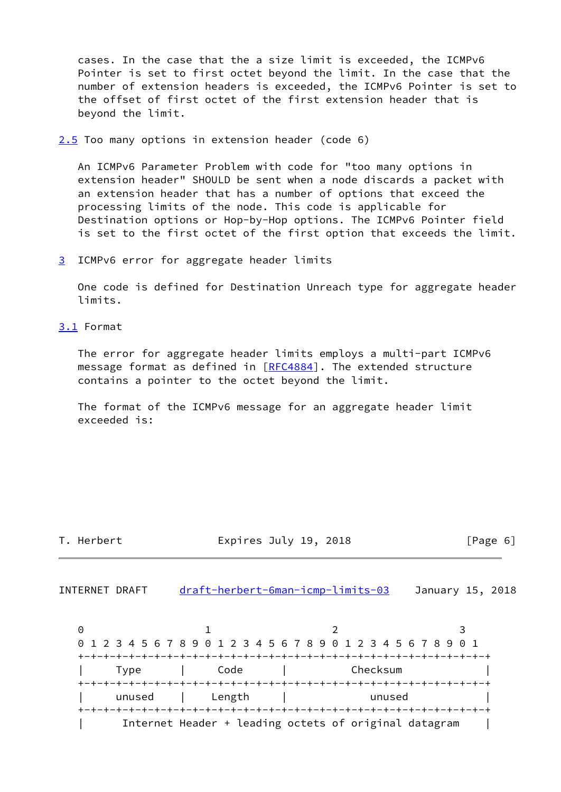cases. In the case that the a size limit is exceeded, the ICMPv6 Pointer is set to first octet beyond the limit. In the case that the number of extension headers is exceeded, the ICMPv6 Pointer is set to the offset of first octet of the first extension header that is beyond the limit.

<span id="page-6-0"></span>[2.5](#page-6-0) Too many options in extension header (code 6)

 An ICMPv6 Parameter Problem with code for "too many options in extension header" SHOULD be sent when a node discards a packet with an extension header that has a number of options that exceed the processing limits of the node. This code is applicable for Destination options or Hop-by-Hop options. The ICMPv6 Pointer field is set to the first octet of the first option that exceeds the limit.

<span id="page-6-1"></span>[3](#page-6-1) ICMPv6 error for aggregate header limits

 One code is defined for Destination Unreach type for aggregate header limits.

<span id="page-6-2"></span>[3.1](#page-6-2) Format

 The error for aggregate header limits employs a multi-part ICMPv6 message format as defined in [\[RFC4884](https://datatracker.ietf.org/doc/pdf/rfc4884)]. The extended structure contains a pointer to the octet beyond the limit.

 The format of the ICMPv6 message for an aggregate header limit exceeded is:

| Herbert |  |
|---------|--|
|         |  |

Expires July 19, 2018  $[Page 6]$ 

<span id="page-6-3"></span>INTERNET DRAFT [draft-herbert-6man-icmp-limits-03](https://datatracker.ietf.org/doc/pdf/draft-herbert-6man-icmp-limits-03) January 15, 2018

0 1 2 3 0 1 2 3 4 5 6 7 8 9 0 1 2 3 4 5 6 7 8 9 0 1 2 3 4 5 6 7 8 9 0 1 +-+-+-+-+-+-+-+-+-+-+-+-+-+-+-+-+-+-+-+-+-+-+-+-+-+-+-+-+-+-+-+-+ | Type | Code | Checksum | +-+-+-+-+-+-+-+-+-+-+-+-+-+-+-+-+-+-+-+-+-+-+-+-+-+-+-+-+-+-+-+-+ unused | Length | unused +-+-+-+-+-+-+-+-+-+-+-+-+-+-+-+-+-+-+-+-+-+-+-+-+-+-+-+-+-+-+-+-+ | Internet Header + leading octets of original datagram |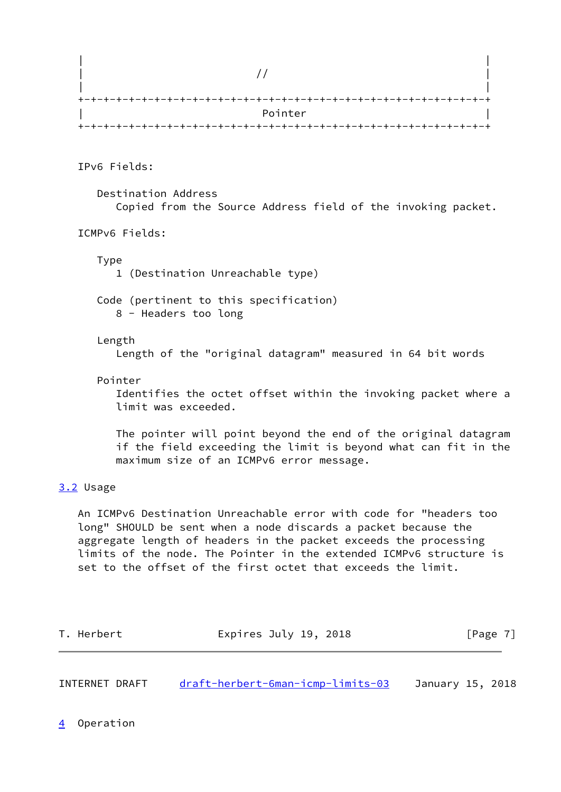| Pointer |
|---------|
|         |

IPv6 Fields:

 Destination Address Copied from the Source Address field of the invoking packet.

ICMPv6 Fields:

Type

1 (Destination Unreachable type)

 Code (pertinent to this specification) 8 - Headers too long

#### Length

Length of the "original datagram" measured in 64 bit words

#### Pointer

 Identifies the octet offset within the invoking packet where a limit was exceeded.

 The pointer will point beyond the end of the original datagram if the field exceeding the limit is beyond what can fit in the maximum size of an ICMPv6 error message.

# <span id="page-7-0"></span>[3.2](#page-7-0) Usage

 An ICMPv6 Destination Unreachable error with code for "headers too long" SHOULD be sent when a node discards a packet because the aggregate length of headers in the packet exceeds the processing limits of the node. The Pointer in the extended ICMPv6 structure is set to the offset of the first octet that exceeds the limit.

| T. Herbert | Expires July 19, 2018 |  | [Page 7] |  |
|------------|-----------------------|--|----------|--|
|            |                       |  |          |  |

<span id="page-7-2"></span><span id="page-7-1"></span>

| INTERNET DRAFT | draft-herbert-6man-icmp-limits-03 | January 15, 2018 |  |
|----------------|-----------------------------------|------------------|--|
|                |                                   |                  |  |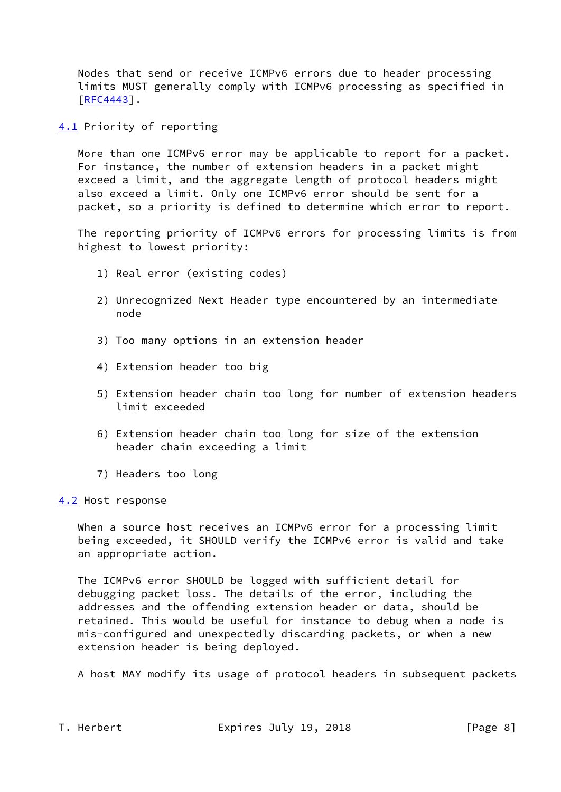Nodes that send or receive ICMPv6 errors due to header processing limits MUST generally comply with ICMPv6 processing as specified in [\[RFC4443](https://datatracker.ietf.org/doc/pdf/rfc4443)].

<span id="page-8-0"></span>[4.1](#page-8-0) Priority of reporting

 More than one ICMPv6 error may be applicable to report for a packet. For instance, the number of extension headers in a packet might exceed a limit, and the aggregate length of protocol headers might also exceed a limit. Only one ICMPv6 error should be sent for a packet, so a priority is defined to determine which error to report.

 The reporting priority of ICMPv6 errors for processing limits is from highest to lowest priority:

- 1) Real error (existing codes)
- 2) Unrecognized Next Header type encountered by an intermediate node
- 3) Too many options in an extension header
- 4) Extension header too big
- 5) Extension header chain too long for number of extension headers limit exceeded
- 6) Extension header chain too long for size of the extension header chain exceeding a limit
- 7) Headers too long

<span id="page-8-1"></span>[4.2](#page-8-1) Host response

When a source host receives an ICMPv6 error for a processing limit being exceeded, it SHOULD verify the ICMPv6 error is valid and take an appropriate action.

 The ICMPv6 error SHOULD be logged with sufficient detail for debugging packet loss. The details of the error, including the addresses and the offending extension header or data, should be retained. This would be useful for instance to debug when a node is mis-configured and unexpectedly discarding packets, or when a new extension header is being deployed.

A host MAY modify its usage of protocol headers in subsequent packets

T. Herbert **Expires July 19, 2018** [Page 8]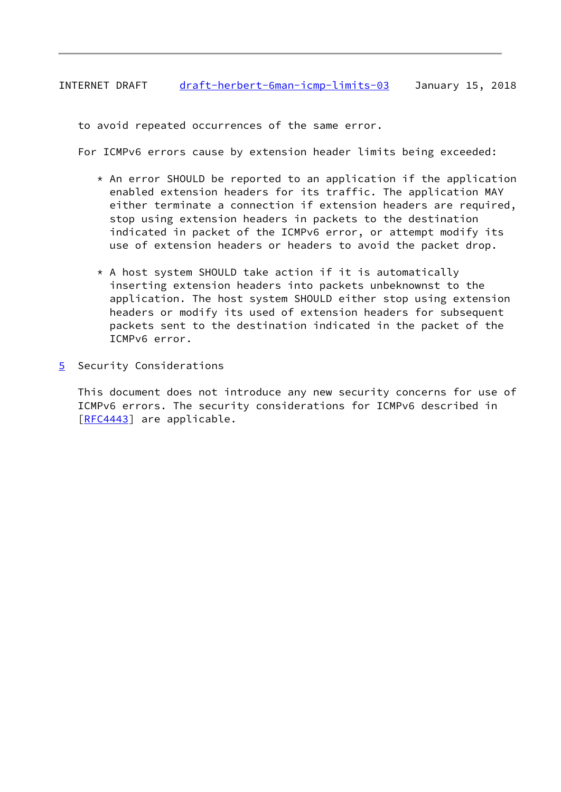# <span id="page-9-1"></span>INTERNET DRAFT [draft-herbert-6man-icmp-limits-03](https://datatracker.ietf.org/doc/pdf/draft-herbert-6man-icmp-limits-03) January 15, 2018

to avoid repeated occurrences of the same error.

For ICMPv6 errors cause by extension header limits being exceeded:

- $*$  An error SHOULD be reported to an application if the application enabled extension headers for its traffic. The application MAY either terminate a connection if extension headers are required, stop using extension headers in packets to the destination indicated in packet of the ICMPv6 error, or attempt modify its use of extension headers or headers to avoid the packet drop.
- \* A host system SHOULD take action if it is automatically inserting extension headers into packets unbeknownst to the application. The host system SHOULD either stop using extension headers or modify its used of extension headers for subsequent packets sent to the destination indicated in the packet of the ICMPv6 error.
- <span id="page-9-0"></span>[5](#page-9-0) Security Considerations

 This document does not introduce any new security concerns for use of ICMPv6 errors. The security considerations for ICMPv6 described in [\[RFC4443](https://datatracker.ietf.org/doc/pdf/rfc4443)] are applicable.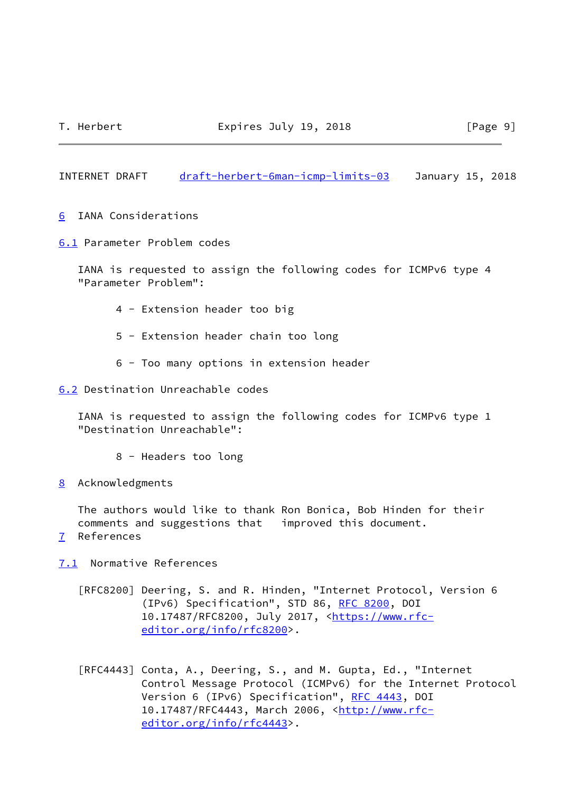<span id="page-10-1"></span>INTERNET DRAFT [draft-herbert-6man-icmp-limits-03](https://datatracker.ietf.org/doc/pdf/draft-herbert-6man-icmp-limits-03) January 15, 2018

- <span id="page-10-0"></span>[6](#page-10-0) IANA Considerations
- <span id="page-10-2"></span>[6.1](#page-10-2) Parameter Problem codes

 IANA is requested to assign the following codes for ICMPv6 type 4 "Parameter Problem":

- 4 Extension header too big
- 5 Extension header chain too long
- 6 Too many options in extension header

<span id="page-10-3"></span>[6.2](#page-10-3) Destination Unreachable codes

 IANA is requested to assign the following codes for ICMPv6 type 1 "Destination Unreachable":

- 8 Headers too long
- <span id="page-10-4"></span>[8](#page-10-4) Acknowledgments

 The authors would like to thank Ron Bonica, Bob Hinden for their comments and suggestions that improved this document.

<span id="page-10-5"></span>[7](#page-10-5) References

<span id="page-10-6"></span>[7.1](#page-10-6) Normative References

- [RFC8200] Deering, S. and R. Hinden, "Internet Protocol, Version 6 (IPv6) Specification", STD 86, [RFC 8200](https://datatracker.ietf.org/doc/pdf/rfc8200), DOI 10.17487/RFC8200, July 2017, [<https://www.rfc](https://www.rfc-editor.org/info/rfc8200) [editor.org/info/rfc8200](https://www.rfc-editor.org/info/rfc8200)>.
- [RFC4443] Conta, A., Deering, S., and M. Gupta, Ed., "Internet Control Message Protocol (ICMPv6) for the Internet Protocol Version 6 (IPv6) Specification", [RFC 4443,](https://datatracker.ietf.org/doc/pdf/rfc4443) DOI 10.17487/RFC4443, March 2006, [<http://www.rfc](http://www.rfc-editor.org/info/rfc4443)[editor.org/info/rfc4443](http://www.rfc-editor.org/info/rfc4443)>.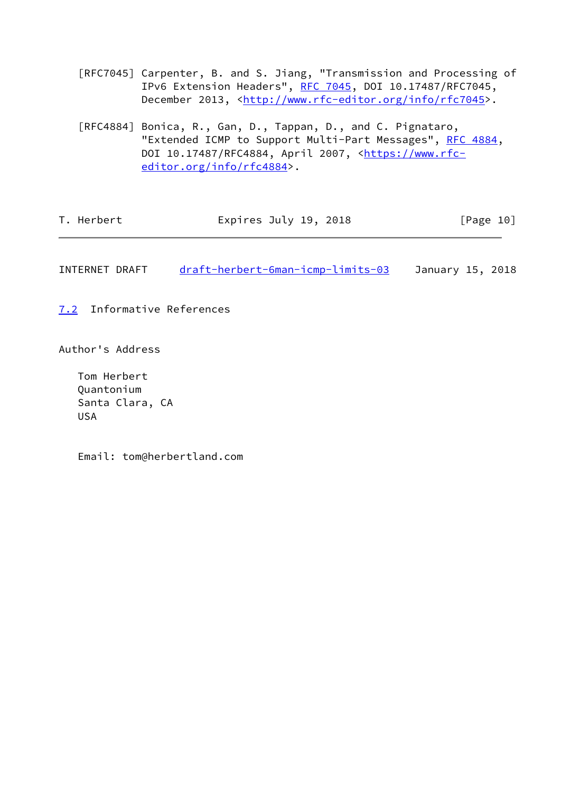- [RFC7045] Carpenter, B. and S. Jiang, "Transmission and Processing of IPv6 Extension Headers", [RFC 7045,](https://datatracker.ietf.org/doc/pdf/rfc7045) DOI 10.17487/RFC7045, December 2013, [<http://www.rfc-editor.org/info/rfc7045](http://www.rfc-editor.org/info/rfc7045)>.
- [RFC4884] Bonica, R., Gan, D., Tappan, D., and C. Pignataro, "Extended ICMP to Support Multi-Part Messages", [RFC 4884](https://datatracker.ietf.org/doc/pdf/rfc4884), DOI 10.17487/RFC4884, April 2007, [<https://www.rfc](https://www.rfc-editor.org/info/rfc4884) [editor.org/info/rfc4884](https://www.rfc-editor.org/info/rfc4884)>.

| T. Herbert<br>Expires July 19, 2018 | [Page 10] |
|-------------------------------------|-----------|
|-------------------------------------|-----------|

<span id="page-11-1"></span>INTERNET DRAFT [draft-herbert-6man-icmp-limits-03](https://datatracker.ietf.org/doc/pdf/draft-herbert-6man-icmp-limits-03) January 15, 2018

<span id="page-11-0"></span>[7.2](#page-11-0) Informative References

Author's Address

 Tom Herbert Quantonium Santa Clara, CA USA

Email: tom@herbertland.com